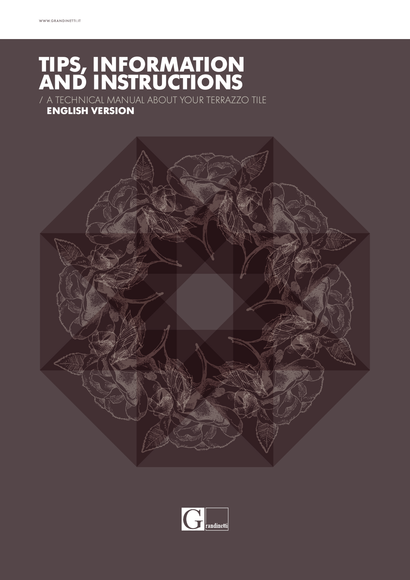## **TIPS, INFORMATION AND INSTRUCTIONS**

/ A TECHNICAL MANUAL ABOUT YOUR TERRAZZO TILE

### **ENGLISH VERSION**



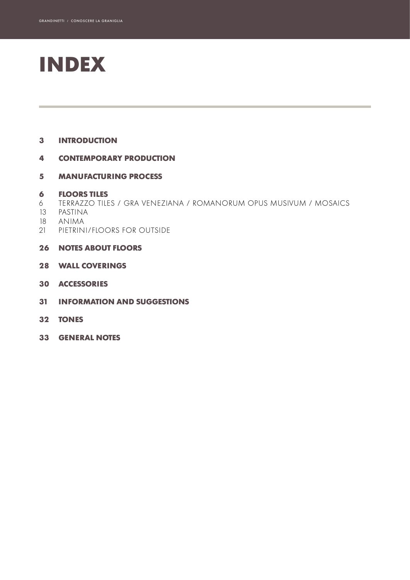# **INDEX**

#### **INTRODUCTION**

#### **CONTEMPORARY PRODUCTION**

#### **MANUFACTURING PROCESS**

#### **FLOORS TILES**

- TERRAZZO TILES / GRA VENEZIANA / ROMANORUM OPUS MUSIVUM / MOSAICS
- PASTINA
- ANIMA
- PIETRINI/FLOORS FOR OUTSIDE
- **NOTES ABOUT FLOORS**
- **WALL COVERINGS**
- **ACCESSORIES**
- **INFORMATION AND SUGGESTIONS**
- **TONES**
- **GENERAL NOTES**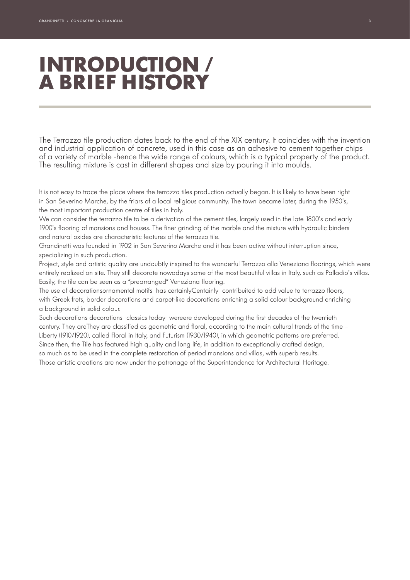## **INTRODUCTION / A BRIEF HISTORY**

The Terrazzo tile production dates back to the end of the XIX century. It coincides with the invention and industrial application of concrete, used in this case as an adhesive to cement together chips of a variety of marble -hence the wide range of colours, which is a typical property of the product. The resulting mixture is cast in different shapes and size by pouring it into moulds.

It is not easy to trace the place where the terrazzo tiles production actually began. It is likely to have been right in San Severino Marche, by the friars of a local religious community. The town became later, during the 1950's, the most important production centre of tiles in Italy.

We can consider the terrazzo tile to be a derivation of the cement tiles, largely used in the late 1800's and early 1900's flooring of mansions and houses. The finer grinding of the marble and the mixture with hydraulic binders and natural oxides are characteristic features of the terrazzo tile.

Grandinetti was founded in 1902 in San Severino Marche and it has been active without interruption since, specializing in such production.

Project, style and artistic quality are undoubtly inspired to the wonderful Terrazzo alla Veneziana floorings, which were entirely realized on site. They still decorate nowadays some of the most beautiful villas in Italy, such as Palladio's villas. Easily, the tile can be seen as a "prearranged" Veneziana flooring.

The use of decorationsornamental motifs has certainlyCentainly contribuited to add value to terrazzo floors, with Greek frets, border decorations and carpet-like decorations enriching a solid colour background enriching a background in solid colour.

Such decorations decorations -classics today- wereere developed during the first decades of the twentieth century. They areThey are classified as geometric and floral, according to the main cultural trends of the time – Liberty (1910/1920), called Floral in Italy, and Futurism (1930/1940), in which geometric patterns are preferred. Since then, the Tile has featured high quality and long life, in addition to exceptionally crafted design, so much as to be used in the complete restoration of period mansions and villas, with superb results.

Those artistic creations are now under the patronage of the Superintendence for Architectural Heritage.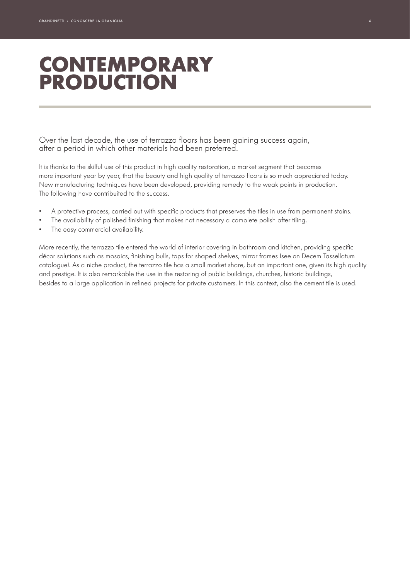## **CONTEMPORARY PRODUCTION**

Over the last decade, the use of terrazzo floors has been gaining success again, after a period in which other materials had been preferred.

It is thanks to the skilful use of this product in high quality restoration, a market segment that becomes more important year by year, that the beauty and high quality of terrazzo floors is so much appreciated today. New manufacturing techniques have been developed, providing remedy to the weak points in production. The following have contribuited to the success.

- A protective process, carried out with specific products that preserves the tiles in use from permanent stains.
- The availability of polished finishing that makes not necessary a complete polish after tiling.
- The easy commercial availability.

More recently, the terrazzo tile entered the world of interior covering in bathroom and kitchen, providing specific décor solutions such as mosaics, finishing bulls, tops for shaped shelves, mirror frames (see on Decem Tassellatum catalogue). As a niche product, the terrazzo tile has a small market share, but an important one, given its high quality and prestige. It is also remarkable the use in the restoring of public buildings, churches, historic buildings, besides to a large application in refined projects for private customers. In this context, also the cement tile is used.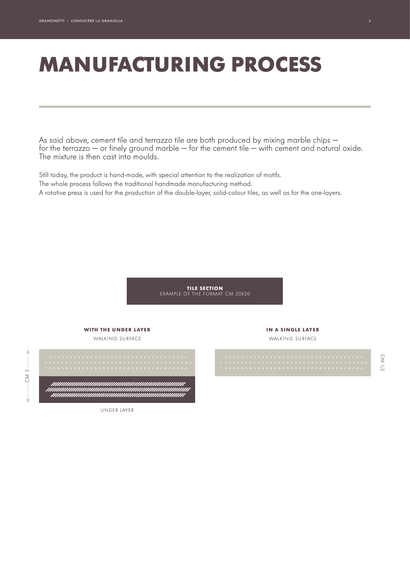# **MANUFACTURING PROCESS**

As said above, cement tile and terrazzo tile are both produced by mixing marble chips for the terrazzo — or finely ground marble — for the cement tile — with cement and natural oxide. The mixture is then cast into moulds.

Still today, the product is hand-made, with special attention to the realization of motifs. The whole process follows the traditional handmade manufacturing method. A rotative press is used for the production of the double-layer, solid-colour tiles, as well as for the one-layers.

> **TILE SECTION** EXAMPLE OF THE FORMAT CM 20X20



CM 1,2

À

UNDER LAYER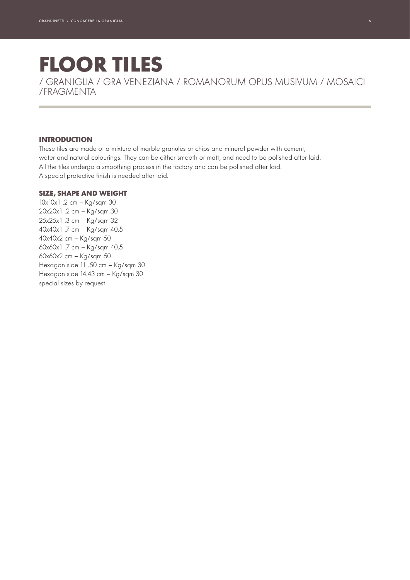## **FLOOR TILES** / GRANIGLIA / GRA VENEZIANA / ROMANORUM OPUS MUSIVUM / MOSAICI

/FRAGMENTA

#### **INTRODUCTION**

These tiles are made of a mixture of marble granules or chips and mineral powder with cement, water and natural colourings. They can be either smooth or matt, and need to be polished after laid. All the tiles undergo a smoothing process in the factory and can be polished after laid. A special protective finish is needed after laid.

#### **SIZE, SHAPE AND WEIGHT**

10x10x1 .2 cm – Kg/sqm 30 20x20x1 .2 cm – Kg/sqm 30 25x25x1 .3 cm – Kg/sqm 32 40x40x1 .7 cm – Kg/sqm 40.5 40x40x2 cm – Kg/sqm 50 60x60x1 .7 cm – Kg/sqm 40.5 60x60x2 cm – Kg/sqm 50 Hexagon side 11 .50 cm – Kg/sqm 30 Hexagon side 14.43 cm – Kg/sqm 30 special sizes by request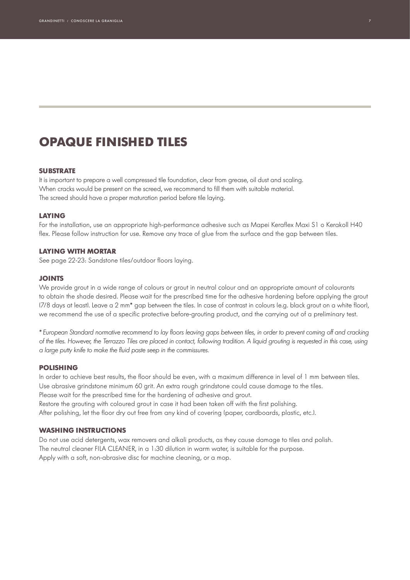### **OPAQUE FINISHED TILES**

#### **SUBSTRATE**

It is important to prepare a well compressed tile foundation, clear from grease, oil dust and scaling. When cracks would be present on the screed, we recommend to fill them with suitable material. The screed should have a proper maturation period before tile laying.

#### **LAYING**

For the installation, use an appropriate high-performance adhesive such as Mapei Keraflex Maxi S1 o Kerakoll H40 flex. Please follow instruction for use. Remove any trace of glue from the surface and the gap between tiles.

#### **LAYING WITH MORTAR**

See page 22-23: Sandstone tiles/outdoor floors laying.

#### **JOINTS**

We provide grout in a wide range of colours or grout in neutral colour and an appropriate amount of colourants to obtain the shade desired. Please wait for the prescribed time for the adhesive hardening before applying the grout (7/8 days at least). Leave a 2 mm\* gap between the tiles. In case of contrast in colours (e.g. black grout on a white floor), we recommend the use of a specific protective before-grouting product, and the carrying out of a preliminary test.

*\* European Standard normative recommend to lay floors leaving gaps between tiles, in order to prevent coming off and cracking of the tiles. However, the Terrazzo Tiles are placed in contact, following tradition. A liquid grouting is requested in this case, using a large putty knife to make the fluid paste seep in the commissures.*

#### **POLISHING**

In order to achieve best results, the floor should be even, with a maximum difference in level of 1 mm between tiles. Use abrasive grindstone minimum 60 grit. An extra rough grindstone could cause damage to the tiles. Please wait for the prescribed time for the hardening of adhesive and grout. Restore the grouting with coloured grout in case it had been taken off with the first polishing. After polishing, let the floor dry out free from any kind of covering (paper, cardboards, plastic, etc.).

#### **WASHING INSTRUCTIONS**

Do not use acid detergents, wax removers and alkali products, as they cause damage to tiles and polish. The neutral cleaner FILA CLEANER, in a 1:30 dilution in warm water, is suitable for the purpose. Apply with a soft, non-abrasive disc for machine cleaning, or a mop.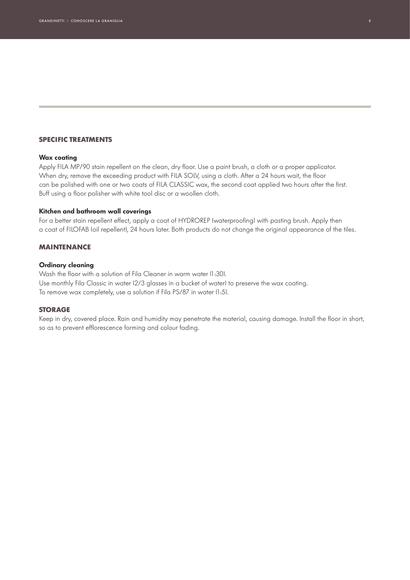#### **SPECIFIC TREATMENTS**

#### **Wax coating**

Apply FILA MP/90 stain repellent on the clean, dry floor. Use a paint brush, a cloth or a proper applicator. When dry, remove the exceeding product with FILA SOLV, using a cloth. After a 24 hours wait, the floor can be polished with one or two coats of FILA CLASSIC wax, the second coat applied two hours after the first. Buff using a floor polisher with white tool disc or a woollen cloth.

#### **Kitchen and bathroom wall coverings**

For a better stain repellent effect, apply a coat of HYDROREP (waterproofing) with pasting brush. Apply then a coat of FILOFAB (oil repellent), 24 hours later. Both products do not change the original appearance of the tiles.

#### **MAINTENANCE**

#### **Ordinary cleaning**

Wash the floor with a solution of Fila Cleaner in warm water (1:30). Use monthly Fila Classic in water (2/3 glasses in a bucket of water) to preserve the wax coating. To remove wax completely, use a solution if Fila PS/87 in water (1:5).

#### **STORAGE**

Keep in dry, covered place. Rain and humidity may penetrate the material, causing damage. Install the floor in short, so as to prevent efflorescence forming and colour fading.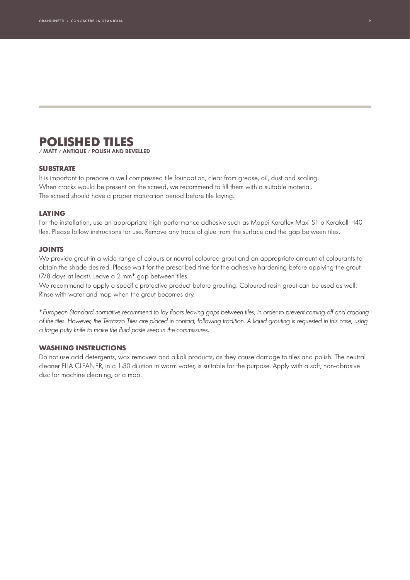### **POLISHED TILES**

**/ MATT / ANTIQUE / POLISH AND BEVELLED** 

#### **SUBSTRATE**

It is important to prepare a well compressed tile foundation, clear from grease, oil, dust and scaling. When cracks would be present on the screed, we recommend to fill them with a suitable material. The screed should have a proper maturation period before tile laying.

#### **LAYING**

For the installation, use an appropriate high-performance adhesive such as Mapei Keraflex Maxi S1 o Kerakoll H40 flex. Please follow instructions for use. Remove any trace of glue from the surface and the gap between tiles.

#### **JOINTS**

We provide grout in a wide range of colours or neutral coloured grout and an appropriate amount of colourants to obtain the shade desired. Please wait for the prescribed time for the adhesive hardening before applying the grout (7/8 days at least). Leave a 2 mm\* gap between tiles.

We recommend to apply a specific protective product before grouting. Coloured resin grout can be used as well. Rinse with water and mop when the grout becomes dry.

*\* European Standard normative recommend to lay floors leaving gaps between tiles, in order to prevent coming off and cracking of the tiles. However, the Terrazzo Tiles are placed in contact, following tradition. A liquid grouting is requested in this case, using a large putty knife to make the fluid paste seep in the commissures.*

#### **WASHING INSTRUCTIONS**

Do not use acid detergents, wax removers and alkali products, as they cause damage to tiles and polish. The neutral cleaner FILA CLEANER, in a 1:30 dilution in warm water, is suitable for the purpose. Apply with a soft, non-abrasive disc for machine cleaning, or a mop.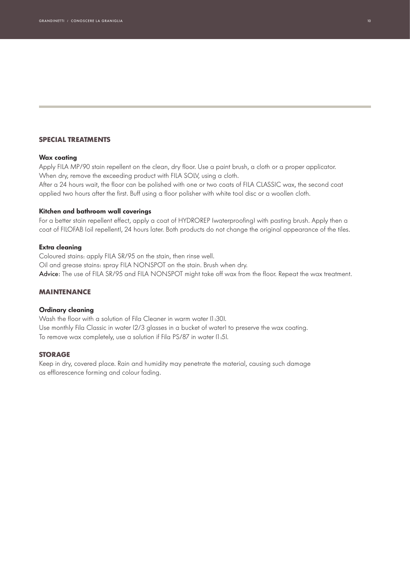#### **SPECIAL TREATMENTS**

#### **Wax coating**

Apply FILA MP/90 stain repellent on the clean, dry floor. Use a paint brush, a cloth or a proper applicator. When dry, remove the exceeding product with FILA SOLV, using a cloth.

After a 24 hours wait, the floor can be polished with one or two coats of FILA CLASSIC wax, the second coat applied two hours after the first. Buff using a floor polisher with white tool disc or a woollen cloth.

#### **Kitchen and bathroom wall coverings**

For a better stain repellent effect, apply a coat of HYDROREP (waterproofing) with pasting brush. Apply then a coat of FILOFAB (oil repellent), 24 hours later. Both products do not change the original appearance of the tiles.

#### **Extra cleaning**

Coloured stains: apply FILA SR/95 on the stain, then rinse well. Oil and grease stains: spray FILA NONSPOT on the stain. Brush when dry. Advice: The use of FILA SR/95 and FILA NONSPOT might take off wax from the floor. Repeat the wax treatment.

#### **MAINTENANCE**

#### **Ordinary cleaning**

Wash the floor with a solution of Fila Cleaner in warm water (1:30). Use monthly Fila Classic in water (2/3 glasses in a bucket of water) to preserve the wax coating. To remove wax completely, use a solution if Fila PS/87 in water (1:5).

#### **STORAGE**

Keep in dry, covered place. Rain and humidity may penetrate the material, causing such damage as efflorescence forming and colour fading.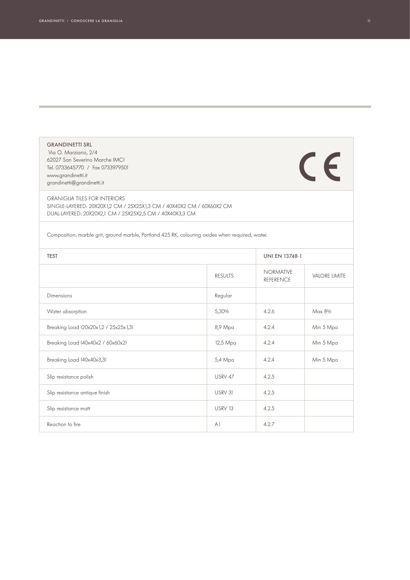| <b>GRANDINETTI SRL</b><br>Via O. Marziario, 2/4<br>62027 San Severino Marche IMCI<br>Tel. 0733645770 / Fax 0733979501<br>www.grandinetti.it<br>grandinetti@grandinetti.it |                |                                      | $\epsilon$           |
|---------------------------------------------------------------------------------------------------------------------------------------------------------------------------|----------------|--------------------------------------|----------------------|
| <b>GRANIGLIA TILES FOR INTERIORS</b><br>SINGLE-LAYERED: 20X20X1,2 CM / 25X25X1,3 CM / 40X40X2 CM / 60X60X2 CM<br>DUAL-LAYERED: 20X20X2,1 CM / 25X25X2,5 CM / 40X40X3,3 CM |                |                                      |                      |
| Composition: marble grit, ground marble, Portland 425 RK, colouring oxides when required, water.                                                                          |                |                                      |                      |
| <b>TEST</b>                                                                                                                                                               |                | <b>UNI EN 13748-1</b>                |                      |
|                                                                                                                                                                           | <b>RESULTS</b> | <b>NORMATIVE</b><br><b>REFERENCE</b> | <b>VALORE LIMITE</b> |
| Dimensions                                                                                                                                                                | Regular        |                                      |                      |
| Water absorption                                                                                                                                                          | 5,30%          | 4.2.6                                | Max 8%               |
| Breaking Load (20x20x1,2 / 25x25x1,3)                                                                                                                                     | 8,9 Mpa        | 4.2.4                                | Min 5 Mpa            |
| Breaking Load (40x40x2 / 60x60x2)                                                                                                                                         | 12,5 Mpa       | 4.2.4                                | Min 5 Mpa            |
| Breaking Load (40x40x3,3)                                                                                                                                                 | 5,4 Mpa        | 4.2.4                                | Min 5 Mpa            |
| Slip resistance polish                                                                                                                                                    | USRV 47        | 4.2.5                                |                      |
| Slip resistance antique finish                                                                                                                                            | USRV 31        | 4.2.5                                |                      |
| Slip resistance matt                                                                                                                                                      | USRV 13        | 4.2.5                                |                      |
| Reaction to fire                                                                                                                                                          | A <sub>1</sub> | 4.2.7                                |                      |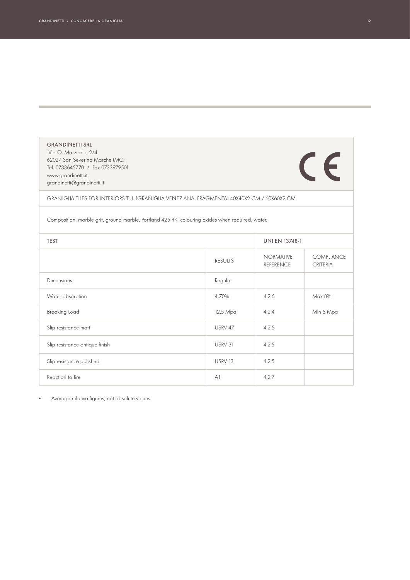| <b>GRANDINETTI SRL</b><br>Via O. Marziario, 2/4<br>62027 San Severino Marche (MC)<br>Tel. 0733645770 / Fax 0733979501<br>www.grandinetti.it<br>grandinetti@grandinetti.it |                |                                      | $\epsilon$                    |
|---------------------------------------------------------------------------------------------------------------------------------------------------------------------------|----------------|--------------------------------------|-------------------------------|
| GRANIGLIA TILES FOR INTERIORS T.U. IGRANIGLIA VENEZIANA, FRAGMENTAI 40X40X2 CM / 60X60X2 CM                                                                               |                |                                      |                               |
| Composition: marble grit, ground marble, Portland 425 RK, colouring oxides when required, water.                                                                          |                |                                      |                               |
| <b>TEST</b>                                                                                                                                                               |                | <b>UNI EN 13748-1</b>                |                               |
|                                                                                                                                                                           | <b>RESULTS</b> | <b>NORMATIVE</b><br><b>REFERENCE</b> | <b>COMPLIANCE</b><br>CRITERIA |
| Dimensions                                                                                                                                                                | Regular        |                                      |                               |
| Water absorption                                                                                                                                                          | 4,70%          | 4.2.6                                | Max 8%                        |
| <b>Breaking Load</b>                                                                                                                                                      | 12,5 Mpa       | 4.2.4                                | Min 5 Mpa                     |
| Slip resistance matt                                                                                                                                                      | USRV 47        | 4.2.5                                |                               |
| Slip resistance antique finish                                                                                                                                            | USRV 31        | 4.2.5                                |                               |
| Slip resistance polished                                                                                                                                                  | <b>USRV 13</b> | 4.2.5                                |                               |
| Reaction to fire                                                                                                                                                          | AI             | 4.2.7                                |                               |

• Average relative figures, not absolute values.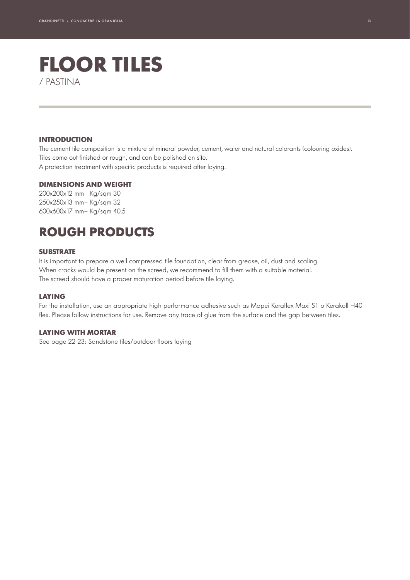### **FLOOR TILES** / PASTINA

#### **INTRODUCTION**

The cement tile composition is a mixture of mineral powder, cement, water and natural colorants (colouring oxides). Tiles come out finished or rough, and can be polished on site. A protection treatment with specific products is required after laying.

#### **DIMENSIONS AND WEIGHT**

200x200x12 mm– Kg/sqm 30 250x250x13 mm– Kg/sqm 32 600x600x17 mm– Kg/sqm 40.5

### **ROUGH PRODUCTS**

#### **SUBSTRATE**

It is important to prepare a well compressed tile foundation, clear from grease, oil, dust and scaling. When cracks would be present on the screed, we recommend to fill them with a suitable material. The screed should have a proper maturation period before tile laying.

#### **LAYING**

For the installation, use an appropriate high-performance adhesive such as Mapei Keraflex Maxi S1 o Kerakoll H40 flex. Please follow instructions for use. Remove any trace of glue from the surface and the gap between tiles.

#### **LAYING WITH MORTAR**

See page 22-23: Sandstone tiles/outdoor floors laying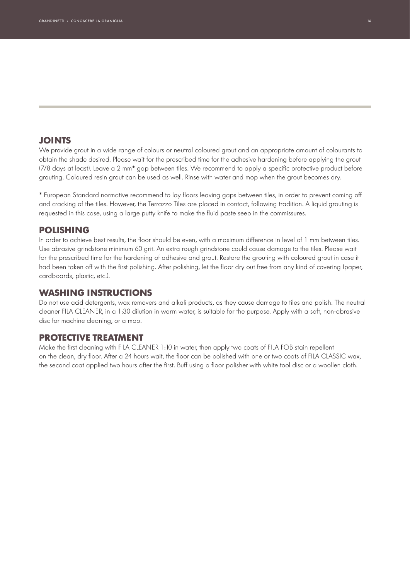#### **JOINTS**

We provide grout in a wide range of colours or neutral coloured grout and an appropriate amount of colourants to obtain the shade desired. Please wait for the prescribed time for the adhesive hardening before applying the grout (7/8 days at least). Leave a 2 mm\* gap between tiles. We recommend to apply a specific protective product before grouting. Coloured resin grout can be used as well. Rinse with water and mop when the grout becomes dry.

\* European Standard normative recommend to lay floors leaving gaps between tiles, in order to prevent coming off and cracking of the tiles. However, the Terrazzo Tiles are placed in contact, following tradition. A liquid grouting is requested in this case, using a large putty knife to make the fluid paste seep in the commissures.

#### **POLISHING**

In order to achieve best results, the floor should be even, with a maximum difference in level of 1 mm between tiles. Use abrasive grindstone minimum 60 grit. An extra rough grindstone could cause damage to the tiles. Please wait for the prescribed time for the hardening of adhesive and grout. Restore the grouting with coloured grout in case it had been taken off with the first polishing. After polishing, let the floor dry out free from any kind of covering (paper, cardboards, plastic, etc.).

#### **WASHING INSTRUCTIONS**

Do not use acid detergents, wax removers and alkali products, as they cause damage to tiles and polish. The neutral cleaner FILA CLEANER, in a 1:30 dilution in warm water, is suitable for the purpose. Apply with a soft, non-abrasive disc for machine cleaning, or a mop.

#### **PROTECTIVE TREATMENT**

Make the first cleaning with FILA CLEANER 1:10 in water, then apply two coats of FILA FOB stain repellent on the clean, dry floor. After a 24 hours wait, the floor can be polished with one or two coats of FILA CLASSIC wax, the second coat applied two hours after the first. Buff using a floor polisher with white tool disc or a woollen cloth.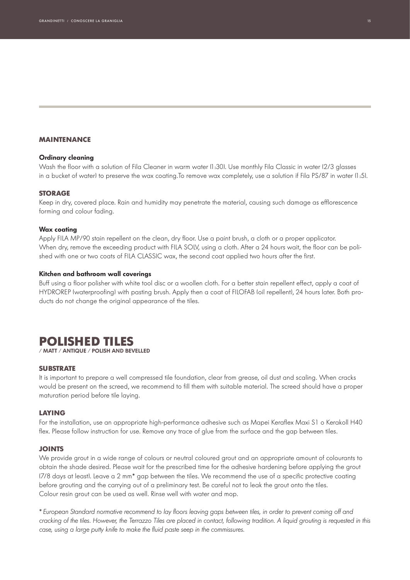#### **MAINTENANCE**

#### **Ordinary cleaning**

Wash the floor with a solution of Fila Cleaner in warm water (1:30). Use monthly Fila Classic in water (2/3 glasses in a bucket of water) to preserve the wax coating.To remove wax completely, use a solution if Fila PS/87 in water (1:5).

#### **STORAGE**

Keep in dry, covered place. Rain and humidity may penetrate the material, causing such damage as efflorescence forming and colour fading.

#### **Wax coating**

Apply FILA MP/90 stain repellent on the clean, dry floor. Use a paint brush, a cloth or a proper applicator. When dry, remove the exceeding product with FILA SOLV, using a cloth. After a 24 hours wait, the floor can be polished with one or two coats of FILA CLASSIC wax, the second coat applied two hours after the first.

#### **Kitchen and bathroom wall coverings**

Buff using a floor polisher with white tool disc or a woollen cloth. For a better stain repellent effect, apply a coat of HYDROREP (waterproofing) with pasting brush. Apply then a coat of FILOFAB (oil repellent), 24 hours later. Both products do not change the original appearance of the tiles.

#### **POLISHED TILES / MATT / ANTIQUE / POLISH AND BEVELLED**

#### **SUBSTRATE**

It is important to prepare a well compressed tile foundation, clear from grease, oil dust and scaling. When cracks would be present on the screed, we recommend to fill them with suitable material. The screed should have a proper maturation period before tile laying.

#### **LAYING**

For the installation, use an appropriate high-performance adhesive such as Mapei Keraflex Maxi S1 o Kerakoll H40 flex. Please follow instruction for use. Remove any trace of glue from the surface and the gap between tiles.

#### **JOINTS**

We provide grout in a wide range of colours or neutral coloured grout and an appropriate amount of colourants to obtain the shade desired. Please wait for the prescribed time for the adhesive hardening before applying the grout (7/8 days at least). Leave a 2 mm\* gap between the tiles. We recommend the use of a specific protective coating before grouting and the carrying out of a preliminary test. Be careful not to leak the grout onto the tiles. Colour resin grout can be used as well. Rinse well with water and mop.

*\* European Standard normative recommend to lay floors leaving gaps between tiles, in order to prevent coming off and cracking of the tiles. However, the Terrazzo Tiles are placed in contact, following tradition. A liquid grouting is requested in this case, using a large putty knife to make the fluid paste seep in the commissures.*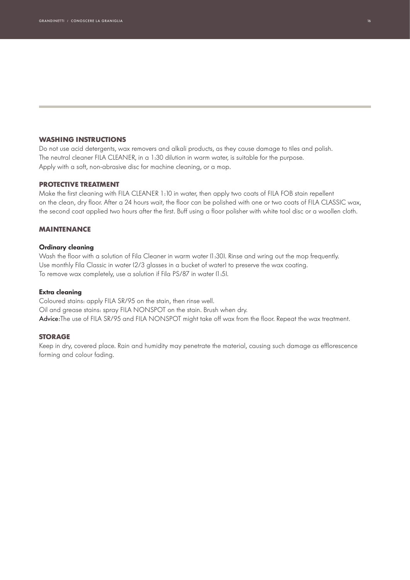#### **WASHING INSTRUCTIONS**

Do not use acid detergents, wax removers and alkali products, as they cause damage to tiles and polish. The neutral cleaner FILA CLEANER, in a 1:30 dilution in warm water, is suitable for the purpose. Apply with a soft, non-abrasive disc for machine cleaning, or a mop.

#### **PROTECTIVE TREATMENT**

Make the first cleaning with FILA CLEANER 1:10 in water, then apply two coats of FILA FOB stain repellent on the clean, dry floor. After a 24 hours wait, the floor can be polished with one or two coats of FILA CLASSIC wax, the second coat applied two hours after the first. Buff using a floor polisher with white tool disc or a woollen cloth.

#### **MAINTENANCE**

#### **Ordinary cleaning**

Wash the floor with a solution of Fila Cleaner in warm water (1:30). Rinse and wring out the mop frequently. Use monthly Fila Classic in water (2/3 glasses in a bucket of water) to preserve the wax coating. To remove wax completely, use a solution if Fila PS/87 in water (1:5).

#### **Extra cleaning**

Coloured stains: apply FILA SR/95 on the stain, then rinse well. Oil and grease stains: spray FILA NONSPOT on the stain. Brush when dry. Advice:The use of FILA SR/95 and FILA NONSPOT might take off wax from the floor. Repeat the wax treatment.

#### **STORAGE**

Keep in dry, covered place. Rain and humidity may penetrate the material, causing such damage as efflorescence forming and colour fading.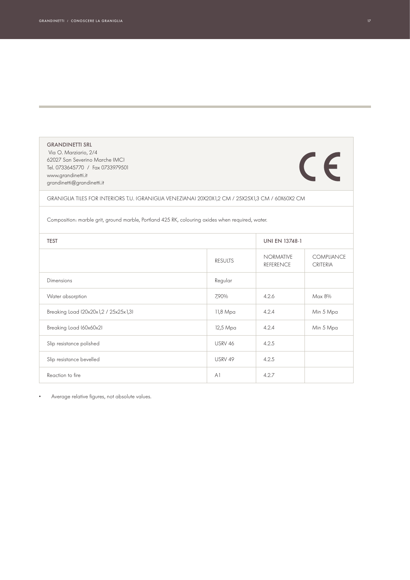| <b>GRANDINETTI SRL</b><br>Via O. Marziario, 2/4<br>62027 San Severino Marche IMCI<br>Tel. 0733645770 / Fax 0733979501<br>www.grandinetti.it<br>grandinetti@grandinetti.it |                |                                      | $\epsilon$                    |
|---------------------------------------------------------------------------------------------------------------------------------------------------------------------------|----------------|--------------------------------------|-------------------------------|
| GRANIGLIA TILES FOR INTERIORS T.U. IGRANIGLIA VENEZIANAJ 20X20X1,2 CM / 25X25X1,3 CM / 60X60X2 CM                                                                         |                |                                      |                               |
| Composition: marble grit, ground marble, Portland 425 RK, colouring oxides when required, water.                                                                          |                |                                      |                               |
| <b>TEST</b>                                                                                                                                                               |                | <b>UNI EN 13748-1</b>                |                               |
|                                                                                                                                                                           | <b>RESULTS</b> | <b>NORMATIVE</b><br><b>REFERENCE</b> | COMPLIANCE<br><b>CRITERIA</b> |
| Dimensions                                                                                                                                                                | Regular        |                                      |                               |
| Water absorption                                                                                                                                                          | 7,90%          | 4.2.6                                | Max 8%                        |
| Breaking Load (20x20x1,2 / 25x25x1,3)                                                                                                                                     | 11,8 Mpa       | 4.2.4                                | Min 5 Mpa                     |
| Breaking Load (60x60x2)                                                                                                                                                   | 12,5 Mpa       | 4.2.4                                | Min 5 Mpa                     |
| Slip resistance polished                                                                                                                                                  | USRV 46        | 4.2.5                                |                               |
| Slip resistance bevelled                                                                                                                                                  | USRV 49        | 4.2.5                                |                               |
| Reaction to fire                                                                                                                                                          | AI             | 4.2.7                                |                               |

• Average relative figures, not absolute values.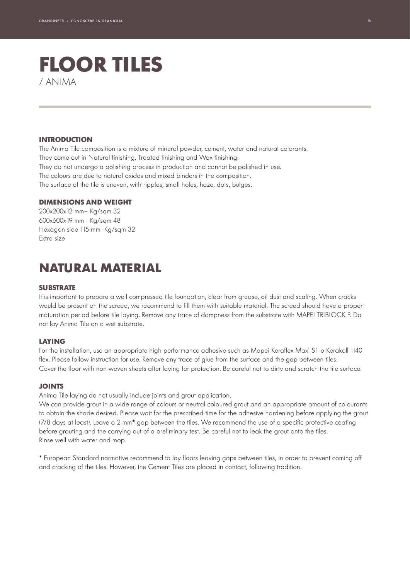## **FLOOR TILES** / ANIMA

#### **INTRODUCTION**

The Anima Tile composition is a mixture of mineral powder, cement, water and natural colorants. They come out in Natural finishing, Treated finishing and Wax finishing. They do not undergo a polishing process in production and cannot be polished in use. The colours are due to natural oxides and mixed binders in the composition. The surface of the tile is uneven, with ripples, small holes, haze, dots, bulges.

#### **DIMENSIONS AND WEIGHT**

200x200x12 mm– Kg/sqm 32 600x600x19 mm– Kg/sqm 48 Hexagon side 115 mm–Kg/sqm 32 Extra size

### **NATURAL MATERIAL**

#### **SUBSTRATE**

It is important to prepare a well compressed tile foundation, clear from grease, oil dust and scaling. When cracks would be present on the screed, we recommend to fill them with suitable material. The screed should have a proper maturation period before tile laying. Remove any trace of dampness from the substrate with MAPEI TRIBLOCK P. Do not lay Anima Tile on a wet substrate.

#### **LAYING**

For the installation, use an appropriate high-performance adhesive such as Mapei Keraflex Maxi S1 o Kerakoll H40 flex. Please follow instruction for use. Remove any trace of glue from the surface and the gap between tiles. Cover the floor with non-woven sheets after laying for protection. Be careful not to dirty and scratch the tile surface.

#### **JOINTS**

Anima Tile laying do not usually include joints and grout application.

We can provide grout in a wide range of colours or neutral coloured grout and an appropriate amount of colourants to obtain the shade desired. Please wait for the prescribed time for the adhesive hardening before applying the grout (7/8 days at least). Leave a 2 mm\* gap between the tiles. We recommend the use of a specific protective coating before grouting and the carrying out of a preliminary test. Be careful not to leak the grout onto the tiles. Rinse well with water and mop.

\* European Standard normative recommend to lay floors leaving gaps between tiles, in order to prevent coming off and cracking of the tiles. However, the Cement Tiles are placed in contact, following tradition.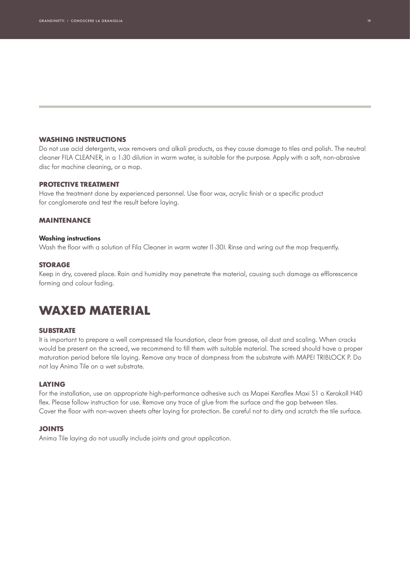#### **WASHING INSTRUCTIONS**

Do not use acid detergents, wax removers and alkali products, as they cause damage to tiles and polish. The neutral cleaner FILA CLEANER, in a 1:30 dilution in warm water, is suitable for the purpose. Apply with a soft, non-abrasive disc for machine cleaning, or a mop.

#### **PROTECTIVE TREATMENT**

Have the treatment done by experienced personnel. Use floor wax, acrylic finish or a specific product for conglomerate and test the result before laying.

#### **MAINTENANCE**

#### **Washing instructions**

Wash the floor with a solution of Fila Cleaner in warm water (1:30). Rinse and wring out the mop frequently.

#### **STORAGE**

Keep in dry, covered place. Rain and humidity may penetrate the material, causing such damage as efflorescence forming and colour fading.

### **WAXED MATERIAL**

#### **SUBSTRATE**

It is important to prepare a well compressed tile foundation, clear from grease, oil dust and scaling. When cracks would be present on the screed, we recommend to fill them with suitable material. The screed should have a proper maturation period before tile laying. Remove any trace of dampness from the substrate with MAPEI TRIBLOCK P. Do not lay Anima Tile on a wet substrate.

#### **LAYING**

For the installation, use an appropriate high-performance adhesive such as Mapei Keraflex Maxi S1 o Kerakoll H40 flex. Please follow instruction for use. Remove any trace of glue from the surface and the gap between tiles. Cover the floor with non-woven sheets after laying for protection. Be careful not to dirty and scratch the tile surface.

#### **JOINTS**

Anima Tile laying do not usually include joints and grout application.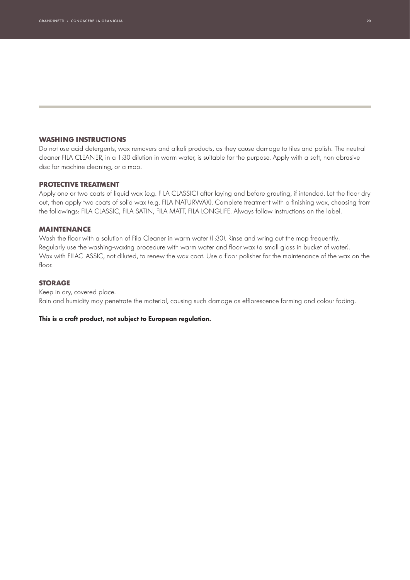#### **WASHING INSTRUCTIONS**

Do not use acid detergents, wax removers and alkali products, as they cause damage to tiles and polish. The neutral cleaner FILA CLEANER, in a 1:30 dilution in warm water, is suitable for the purpose. Apply with a soft, non-abrasive disc for machine cleaning, or a mop.

#### **PROTECTIVE TREATMENT**

Apply one or two coats of liquid wax (e.g. FILA CLASSIC) after laying and before grouting, if intended. Let the floor dry out, then apply two coats of solid wax (e.g. FILA NATURWAX). Complete treatment with a finishing wax, choosing from the followings: FILA CLASSIC, FILA SATIN, FILA MATT, FILA LONGLIFE. Always follow instructions on the label.

#### **MAINTENANCE**

Wash the floor with a solution of Fila Cleaner in warm water (1:30). Rinse and wring out the mop frequently. Regularly use the washing-waxing procedure with warm water and floor wax (a small glass in bucket of water). Wax with FILACLASSIC, not diluted, to renew the wax coat. Use a floor polisher for the maintenance of the wax on the floor.

#### **STORAGE**

Keep in dry, covered place. Rain and humidity may penetrate the material, causing such damage as efflorescence forming and colour fading.

#### **This is a craft product, not subject to European regulation.**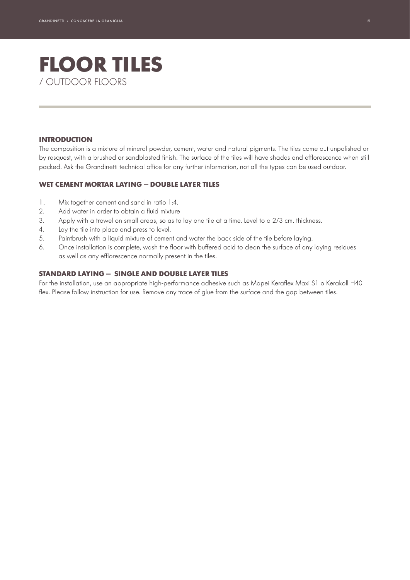## **FLOOR TILES** / OUTDOOR FLOORS

#### **INTRODUCTION**

The composition is a mixture of mineral powder, cement, water and natural pigments. The tiles come out unpolished or by resquest, with a brushed or sandblasted finish. The surface of the tiles will have shades and efflorescence when still packed. Ask the Grandinetti technical office for any further information, not all the types can be used outdoor.

#### **WET CEMENT MORTAR LAYING — DOUBLE LAYER TILES**

- 1. Mix together cement and sand in ratio 1:4.
- 2. Add water in order to obtain a fluid mixture
- 3. Apply with a trowel on small areas, so as to lay one tile at a time. Level to a 2/3 cm. thickness.
- 4. Lay the tile into place and press to level.
- 5. Paintbrush with a liquid mixture of cement and water the back side of the tile before laying.
- 6. Once installation is complete, wash the floor with buffered acid to clean the surface of any laying residues as well as any efflorescence normally present in the tiles.

#### **STANDARD LAYING — SINGLE AND DOUBLE LAYER TILES**

For the installation, use an appropriate high-performance adhesive such as Mapei Keraflex Maxi S1 o Kerakoll H40 flex. Please follow instruction for use. Remove any trace of glue from the surface and the gap between tiles.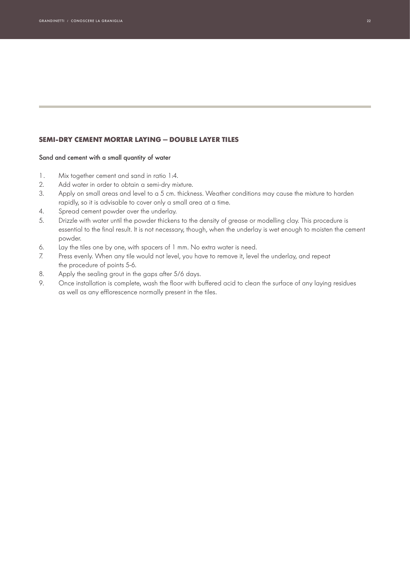#### **SEMI-DRY CEMENT MORTAR LAYING — DOUBLE LAYER TILES**

#### Sand and cement with a small quantity of water

- 1. Mix together cement and sand in ratio 1:4.
- 2. Add water in order to obtain a semi-dry mixture.
- 3. Apply on small areas and level to a 5 cm. thickness. Weather conditions may cause the mixture to harden rapidly, so it is advisable to cover only a small area at a time.
- 4. Spread cement powder over the underlay.
- 5. Drizzle with water until the powder thickens to the density of grease or modelling clay. This procedure is essential to the final result. It is not necessary, though, when the underlay is wet enough to moisten the cement powder.
- 6. Lay the tiles one by one, with spacers of 1 mm. No extra water is need.
- 7. Press evenly. When any tile would not level, you have to remove it, level the underlay, and repeat the procedure of points 5-6.
- 8. Apply the sealing grout in the gaps after 5/6 days.
- 9. Once installation is complete, wash the floor with buffered acid to clean the surface of any laying residues as well as any efflorescence normally present in the tiles.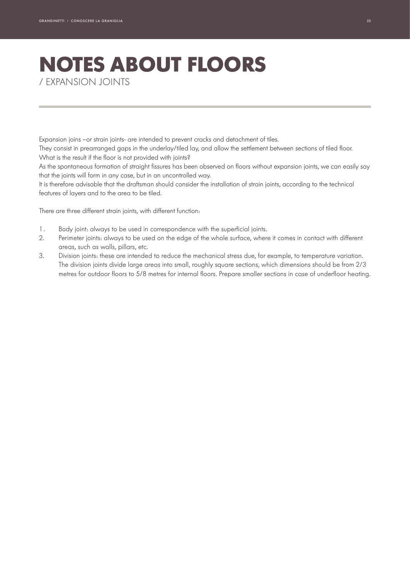# **NOTES ABOUT FLOORS**

/ EXPANSION JOINTS

Expansion joins –or strain joints- are intended to prevent cracks and detachment of tiles.

They consist in prearranged gaps in the underlay/tiled lay, and allow the settlement between sections of tiled floor. What is the result if the floor is not provided with joints?

As the spontaneous formation of straight fissures has been observed on floors without expansion joints, we can easily say that the joints will form in any case, but in an uncontrolled way.

It is therefore advisable that the draftsman should consider the installation of strain joints, according to the technical features of layers and to the area to be tiled.

There are three different strain joints, with different function:

- 1. Body joint: always to be used in correspondence with the superficial joints.
- 2. Perimeter joints: always to be used on the edge of the whole surface, where it comes in contact with different areas, such as walls, pillars, etc.
- 3. Division joints: these are intended to reduce the mechanical stress due, for example, to temperature variation. The division joints divide large areas into small, roughly square sections, which dimensions should be from 2/3 metres for outdoor floors to 5/8 metres for internal floors. Prepare smaller sections in case of underfloor heating.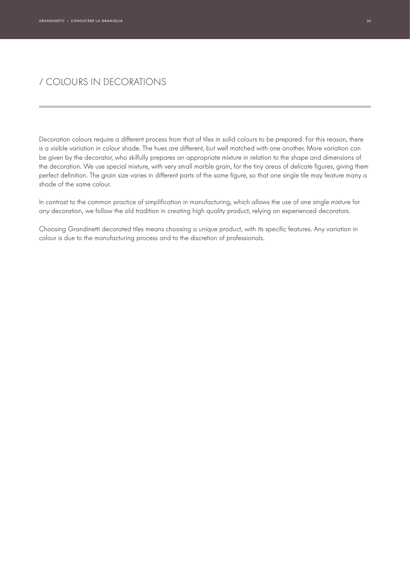### / COLOURS IN DECORATIONS

Decoration colours require a different process from that of tiles in solid colours to be prepared. For this reason, there is a visible variation in colour shade. The hues are different, but well matched with one another. More variation can be given by the decorator, who skilfully prepares an appropriate mixture in relation to the shape and dimensions of the decoration. We use special mixture, with very small marble grain, for the tiny areas of delicate figures, giving them perfect definition. The grain size varies in different parts of the same figure, so that one single tile may feature many a shade of the same colour.

In contrast to the common practice of simplification in manufacturing, which allows the use of one single mixture for any decoration, we follow the old tradition in creating high quality product, relying on experienced decorators.

Choosing Grandinetti decorated tiles means choosing a unique product, with its specific features. Any variation in colour is due to the manufacturing process and to the discretion of professionals.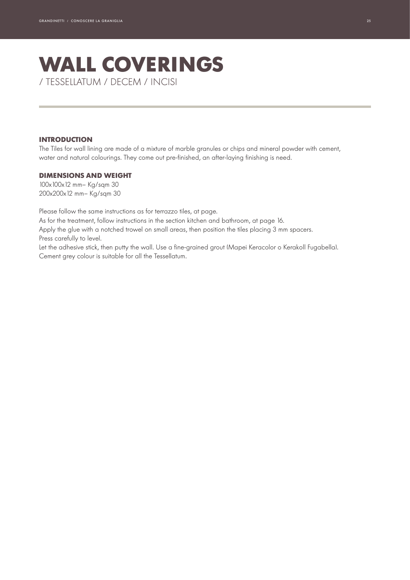### **WALL COVERINGS** / TESSELLATUM / DECEM / INCISI

#### **INTRODUCTION**

The Tiles for wall lining are made of a mixture of marble granules or chips and mineral powder with cement, water and natural colourings. They come out pre-finished, an after-laying finishing is need.

#### **DIMENSIONS AND WEIGHT**

100x100x12 mm– Kg/sqm 30 200x200x12 mm– Kg/sqm 30

Please follow the same instructions as for terrazzo tiles, at page.

As for the treatment, follow instructions in the section kitchen and bathroom, at page 16.

Apply the glue with a notched trowel on small areas, then position the tiles placing 3 mm spacers. Press carefully to level.

Let the adhesive stick, then putty the wall. Use a fine-grained grout (Mapei Keracolor o Kerakoll Fugabella). Cement grey colour is suitable for all the Tessellatum.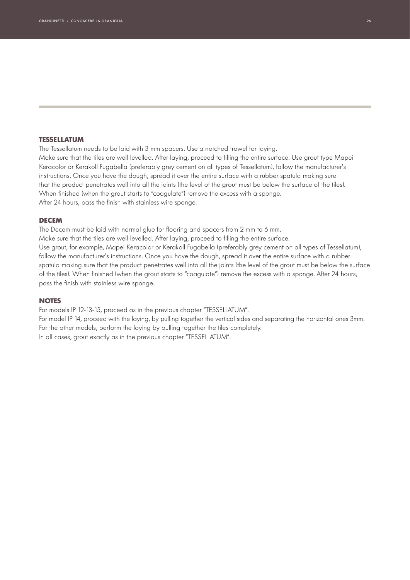#### **TESSELLATUM**

The Tessellatum needs to be laid with 3 mm spacers. Use a notched trowel for laying. Make sure that the tiles are well levelled. After laying, proceed to filling the entire surface. Use grout type Mapei Keracolor or Kerakoll Fugabella (preferably grey cement on all types of Tessellatum), follow the manufacturer's instructions. Once you have the dough, spread it over the entire surface with a rubber spatula making sure that the product penetrates well into all the joints (the level of the grout must be below the surface of the tiles). When finished (when the grout starts to "coagulate") remove the excess with a sponge. After 24 hours, pass the finish with stainless wire sponge.

#### **DECEM**

The Decem must be laid with normal glue for flooring and spacers from 2 mm to 6 mm. Make sure that the tiles are well levelled. After laying, proceed to filling the entire surface. Use grout, for example, Mapei Keracolor or Kerakoll Fugabella (preferably grey cement on all types of Tessellatum), follow the manufacturer's instructions. Once you have the dough, spread it over the entire surface with a rubber spatula making sure that the product penetrates well into all the joints (the level of the grout must be below the surface of the tiles). When finished (when the grout starts to "coagulate") remove the excess with a sponge. After 24 hours, pass the finish with stainless wire sponge.

#### **NOTES**

For models IP 12-13-15, proceed as in the previous chapter "TESSELLATUM".

For model IP 14, proceed with the laying, by pulling together the vertical sides and separating the horizontal ones 3mm. For the other models, perform the laying by pulling together the tiles completely. In all cases, grout exactly as in the previous chapter "TESSELLATUM".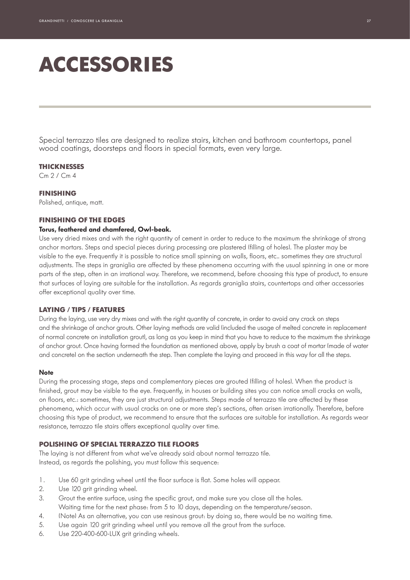## **ACCESSORIES**

Special terrazzo tiles are designed to realize stairs, kitchen and bathroom countertops, panel wood coatings, doorsteps and floors in special formats, even very large.

#### **THICKNESSES**

Cm 2 / Cm 4

#### **FINISHING**

Polished, antique, matt.

#### **FINISHING OF THE EDGES**

#### **Torus, feathered and chamfered, Owl-beak.**

Use very dried mixes and with the right quantity of cement in order to reduce to the maximum the shrinkage of strong anchor mortars. Steps and special pieces during processing are plastered (filling of holes). The plaster may be visible to the eye. Frequently it is possible to notice small spinning on walls, floors, etc.. sometimes they are structural adjustments. The steps in graniglia are affected by these phenomena occurring with the usual spinning in one or more parts of the step, often in an irrational way. Therefore, we recommend, before choosing this type of product, to ensure that surfaces of laying are suitable for the installation. As regards graniglia stairs, countertops and other accessories offer exceptional quality over time.

#### **LAYING / TIPS / FEATURES**

During the laying, use very dry mixes and with the right quantity of concrete, in order to avoid any crack on steps and the shrinkage of anchor grouts. Other laying methods are valid (included the usage of melted concrete in replacement of normal concrete on installation grout), as long as you keep in mind that you have to reduce to the maximum the shrinkage of anchor grout. Once having formed the foundation as mentioned above, apply by brush a coat of mortar (made of water and concrete) on the section underneath the step. Then complete the laying and proceed in this way for all the steps.

#### **Note**

During the processing stage, steps and complementary pieces are grouted (filling of holes). When the product is finished, grout may be visible to the eye. Frequently, in houses or building sites you can notice small cracks on walls, on floors, etc.: sometimes, they are just structural adjustments. Steps made of terrazzo tile are affected by these phenomena, which occur with usual cracks on one or more step's sections, often arisen irrationally. Therefore, before choosing this type of product, we recommend to ensure that the surfaces are suitable for installation. As regards wear resistance, terrazzo tile stairs offers exceptional quality over time.

#### **POLISHING OF SPECIAL TERRAZZO TILE FLOORS**

The laying is not different from what we've already said about normal terrazzo tile. Instead, as regards the polishing, you must follow this sequence:

- 1. Use 60 grit grinding wheel until the floor surface is flat. Some holes will appear.
- 2. Use 120 arit arinding wheel.
- 3. Grout the entire surface, using the specific grout, and make sure you close all the holes. Waiting time for the next phase: from 5 to 10 days, depending on the temperature/season.
- 4. (Note) As an alternative, you can use resinous grout: by doing so, there would be no waiting time.
- 5. Use again 120 grit grinding wheel until you remove all the grout from the surface.
- 6. Use 220-400-600-LUX grit grinding wheels.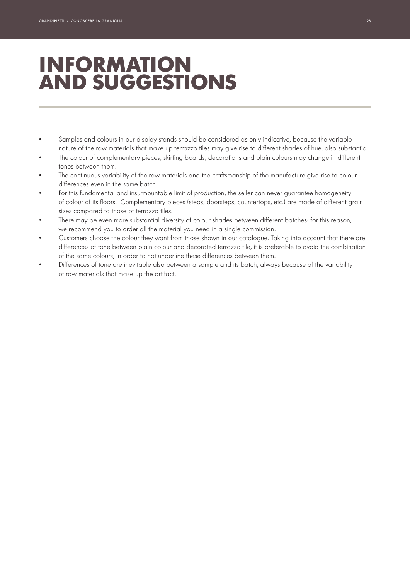## **INFORMATION AND SUGGESTIONS**

- Samples and colours in our display stands should be considered as only indicative, because the variable nature of the raw materials that make up terrazzo tiles may give rise to different shades of hue, also substantial.
- The colour of complementary pieces, skirting boards, decorations and plain colours may change in different tones between them.
- The continuous variability of the raw materials and the craftsmanship of the manufacture give rise to colour differences even in the same batch.
- For this fundamental and insurmountable limit of production, the seller can never guarantee homogeneity of colour of its floors. Complementary pieces (steps, doorsteps, countertops, etc.) are made of different grain sizes compared to those of terrazzo tiles.
- There may be even more substantial diversity of colour shades between different batches: for this reason, we recommend you to order all the material you need in a single commission.
- Customers choose the colour they want from those shown in our catalogue. Taking into account that there are differences of tone between plain colour and decorated terrazzo tile, it is preferable to avoid the combination of the same colours, in order to not underline these differences between them.
- Differences of tone are inevitable also between a sample and its batch, always because of the variability of raw materials that make up the artifact.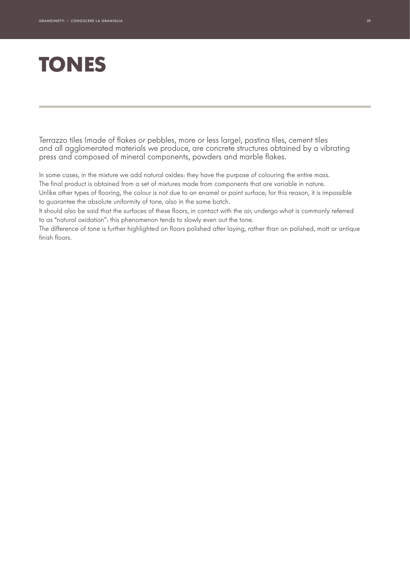# **TONES**

Terrazzo tiles (made of flakes or pebbles, more or less large), pastina tiles, cement tiles and all agglomerated materials we produce, are concrete structures obtained by a vibrating press and composed of mineral components, powders and marble flakes.

In some cases, in the mixture we add natural oxides: they have the purpose of colouring the entire mass.

The final product is obtained from a set of mixtures made from components that are variable in nature. Unlike other types of flooring, the colour is not due to an enamel or paint surface; for this reason, it is impossible to guarantee the absolute uniformity of tone, also in the same batch.

It should also be said that the surfaces of these floors, in contact with the air, undergo what is commonly referred to as "natural oxidation": this phenomenon tends to slowly even out the tone.

The difference of tone is further highlighted on floors polished after laying, rather than on polished, matt or antique finish floors.